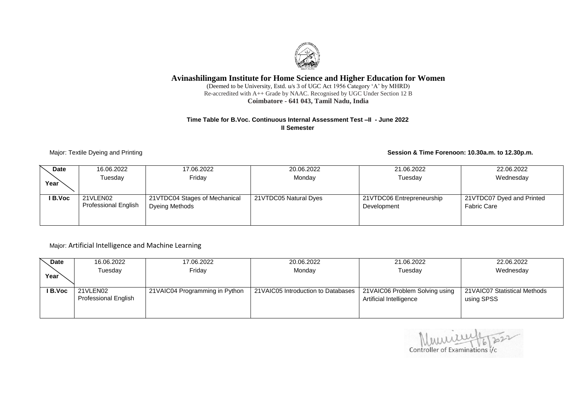# **Avinashilingam Institute for Home Science and Higher Education for Women**

(Deemed to be University, Estd. u/s 3 of UGC Act 1956 Category 'A' by MHRD) Re-accredited with A++ Grade by NAAC. Recognised by UGC Under Section 12 B **Coimbatore - 641 043, Tamil Nadu, India**

#### **Time Table for B.Voc. Continuous Internal Assessment Test –II - June 2022 II Semester**

#### Major: Textile Dyeing and Printing **Session & Time Forenoon: 10.30a.m. to 12.30p.m.**

| <b>Date</b> | 16.06.2022<br>Tuesdav                   | 17.06.2022<br>Friday                            | 20.06.2022<br>Monday  | 21.06.2022<br>Tuesday                    | 22.06.2022<br>Wednesday                         |
|-------------|-----------------------------------------|-------------------------------------------------|-----------------------|------------------------------------------|-------------------------------------------------|
| Year        |                                         |                                                 |                       |                                          |                                                 |
| I B.Voc     | 21VLEN02<br><b>Professional English</b> | 21VTDC04 Stages of Mechanical<br>Dyeing Methods | 21VTDC05 Natural Dyes | 21VTDC06 Entrepreneurship<br>Development | 21VTDC07 Dyed and Printed<br><b>Fabric Care</b> |
|             |                                         |                                                 |                       |                                          |                                                 |

### Major: Artificial Intelligence and Machine Learning

| <b>Date</b> | 16.06.2022           | 17.06.2022                      | 20.06.2022                          | 21.06.2022                     | 22.06.2022                    |
|-------------|----------------------|---------------------------------|-------------------------------------|--------------------------------|-------------------------------|
|             | Tuesday              | Friday                          | Monday                              | Tuesday                        | Wednesday                     |
| Year        |                      |                                 |                                     |                                |                               |
| I B.Voc     | 21VLEN02             | 21 VAIC04 Programming in Python | 21 VAIC05 Introduction to Databases | 21VAIC06 Problem Solving using | 21 VAIC07 Statistical Methods |
|             | Professional English |                                 |                                     |                                |                               |
|             |                      |                                 |                                     | Artificial Intelligence        | using SPSS                    |
|             |                      |                                 |                                     |                                |                               |
|             |                      |                                 |                                     |                                |                               |

Controller of Examinations i/c